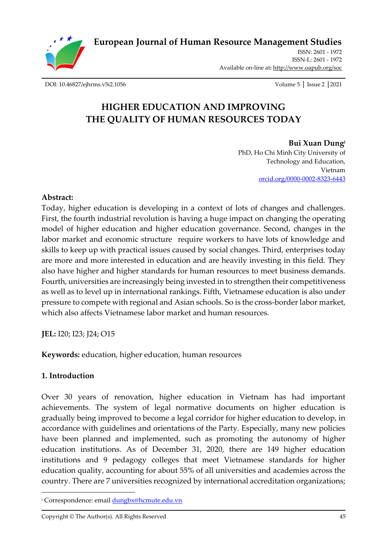**[European Journal of Human Resource Management Studies](https://oapub.org/soc/index.php/EJHRMS/index)**



[ISSN: 2601 -](http://oapub.org/soc/index.php/EJSSS) 1972 [ISSN-L: 2601](http://oapub.org/soc/index.php/EJSSS) - 1972 Available on-line at**:** <http://www.oapub.org/soc>

[DOI: 10.46827/ejhrms.v5i2.1056](http://dx.doi.org/10.46827/ejhrms.v5i2.1056) Volume 5 │ Issue 2 │2021

# **HIGHER EDUCATION AND IMPROVING THE QUALITY OF HUMAN RESOURCES TODAY**

# **Bui Xuan Dung<sup>i</sup>**

PhD, Ho Chi Minh City University of Technology and Education, Vietnam [orcid.org/0000-0002-8323-6443](https://orcid.org/0000-0002-8323-6443)

### **Abstract:**

Today, higher education is developing in a context of lots of changes and challenges. First, the fourth industrial revolution is having a huge impact on changing the operating model of higher education and higher education governance. Second, changes in the labor market and economic structure require workers to have lots of knowledge and skills to keep up with practical issues caused by social changes. Third, enterprises today are more and more interested in education and are heavily investing in this field. They also have higher and higher standards for human resources to meet business demands. Fourth, universities are increasingly being invested in to strengthen their competitiveness as well as to level up in international rankings. Fifth, Vietnamese education is also under pressure to compete with regional and Asian schools. So is the cross-border labor market, which also affects Vietnamese labor market and human resources.

**JEL:** I20; I23; J24; O15

**Keywords:** education, higher education, human resources

# **1. Introduction**

Over 30 years of renovation, higher education in Vietnam has had important achievements. The system of legal normative documents on higher education is gradually being improved to become a legal corridor for higher education to develop, in accordance with guidelines and orientations of the Party. Especially, many new policies have been planned and implemented, such as promoting the autonomy of higher education institutions. As of December 31, 2020, there are 149 higher education institutions and 9 pedagogy colleges that meet Vietnamese standards for higher education quality, accounting for about 55% of all universities and academies across the country. There are 7 universities recognized by international accreditation organizations;

<sup>&</sup>lt;sup>i</sup> Correspondence: email **dungbx@hcmute.edu.vn**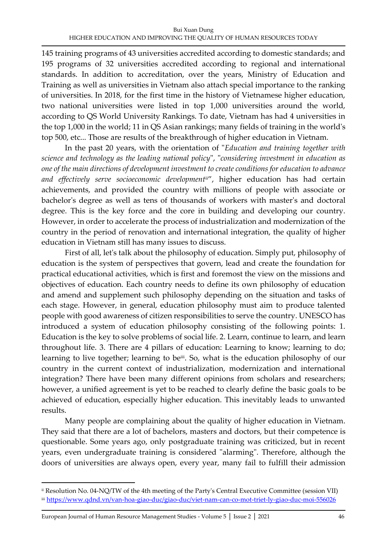145 training programs of 43 universities accredited according to domestic standards; and 195 programs of 32 universities accredited according to regional and international standards. In addition to accreditation, over the years, Ministry of Education and Training as well as universities in Vietnam also attach special importance to the ranking of universities. In 2018, for the first time in the history of Vietnamese higher education, two national universities were listed in top 1,000 universities around the world, according to QS World University Rankings. To date, Vietnam has had 4 universities in the top 1,000 in the world; 11 in QS Asian rankings; many fields of training in the world's top 500, etc... Those are results of the breakthrough of higher education in Vietnam.

In the past 20 years, with the orientation of "*Education and training together with science and technology as the leading national policy*", "*considering investment in education as one of the main directions of development investment to create conditions for education to advance and effectively serve socioeconomic development*ii", higher education has had certain achievements, and provided the country with millions of people with associate or bachelor's degree as well as tens of thousands of workers with master's and doctoral degree. This is the key force and the core in building and developing our country. However, in order to accelerate the process of industrialization and modernization of the country in the period of renovation and international integration, the quality of higher education in Vietnam still has many issues to discuss.

First of all, let's talk about the philosophy of education. Simply put, philosophy of education is the system of perspectives that govern, lead and create the foundation for practical educational activities, which is first and foremost the view on the missions and objectives of education. Each country needs to define its own philosophy of education and amend and supplement such philosophy depending on the situation and tasks of each stage. However, in general, education philosophy must aim to produce talented people with good awareness of citizen responsibilities to serve the country. UNESCO has introduced a system of education philosophy consisting of the following points: 1. Education is the key to solve problems of social life. 2. Learn, continue to learn, and learn throughout life. 3. There are 4 pillars of education: Learning to know; learning to do; learning to live together; learning to be<sup>iii</sup>. So, what is the education philosophy of our country in the current context of industrialization, modernization and international integration? There have been many different opinions from scholars and researchers; however, a unified agreement is yet to be reached to clearly define the basic goals to be achieved of education, especially higher education. This inevitably leads to unwanted results.

Many people are complaining about the quality of higher education in Vietnam. They said that there are a lot of bachelors, masters and doctors, but their competence is questionable. Some years ago, only postgraduate training was criticized, but in recent years, even undergraduate training is considered "alarming". Therefore, although the doors of universities are always open, every year, many fail to fulfill their admission

ii Resolution No. 04-NQ/TW of the 4th meeting of the Party's Central Executive Committee (session VII) iii <https://www.qdnd.vn/van-hoa-giao-duc/giao-duc/viet-nam-can-co-mot-triet-ly-giao-duc-moi-556026>

[European Journal of Human Resource Management Studies](https://oapub.org/soc/index.php/EJHRMS/index) - Volume 5 | Issue 2 | 2021 46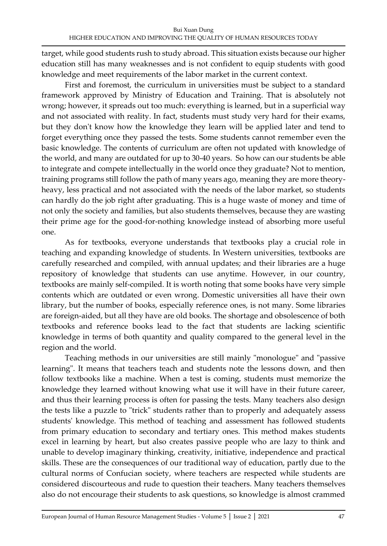target, while good students rush to study abroad. This situation exists because our higher education still has many weaknesses and is not confident to equip students with good knowledge and meet requirements of the labor market in the current context.

First and foremost, the curriculum in universities must be subject to a standard framework approved by Ministry of Education and Training. That is absolutely not wrong; however, it spreads out too much: everything is learned, but in a superficial way and not associated with reality. In fact, students must study very hard for their exams, but they don't know how the knowledge they learn will be applied later and tend to forget everything once they passed the tests. Some students cannot remember even the basic knowledge. The contents of curriculum are often not updated with knowledge of the world, and many are outdated for up to 30-40 years. So how can our students be able to integrate and compete intellectually in the world once they graduate? Not to mention, training programs still follow the path of many years ago, meaning they are more theoryheavy, less practical and not associated with the needs of the labor market, so students can hardly do the job right after graduating. This is a huge waste of money and time of not only the society and families, but also students themselves, because they are wasting their prime age for the good-for-nothing knowledge instead of absorbing more useful one.

As for textbooks, everyone understands that textbooks play a crucial role in teaching and expanding knowledge of students. In Western universities, textbooks are carefully researched and compiled, with annual updates; and their libraries are a huge repository of knowledge that students can use anytime. However, in our country, textbooks are mainly self-compiled. It is worth noting that some books have very simple contents which are outdated or even wrong. Domestic universities all have their own library, but the number of books, especially reference ones, is not many. Some libraries are foreign-aided, but all they have are old books. The shortage and obsolescence of both textbooks and reference books lead to the fact that students are lacking scientific knowledge in terms of both quantity and quality compared to the general level in the region and the world.

Teaching methods in our universities are still mainly "monologue" and "passive learning". It means that teachers teach and students note the lessons down, and then follow textbooks like a machine. When a test is coming, students must memorize the knowledge they learned without knowing what use it will have in their future career, and thus their learning process is often for passing the tests. Many teachers also design the tests like a puzzle to "trick" students rather than to properly and adequately assess students' knowledge. This method of teaching and assessment has followed students from primary education to secondary and tertiary ones. This method makes students excel in learning by heart, but also creates passive people who are lazy to think and unable to develop imaginary thinking, creativity, initiative, independence and practical skills. These are the consequences of our traditional way of education, partly due to the cultural norms of Confucian society, where teachers are respected while students are considered discourteous and rude to question their teachers. Many teachers themselves also do not encourage their students to ask questions, so knowledge is almost crammed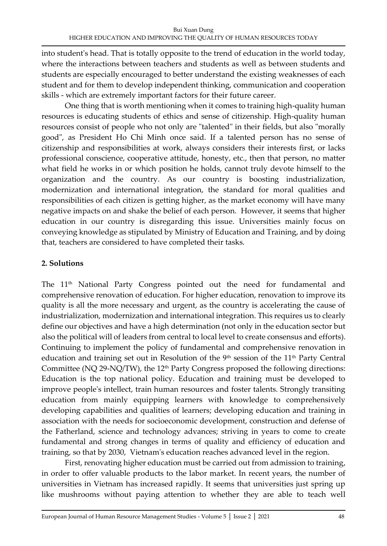into student's head. That is totally opposite to the trend of education in the world today, where the interactions between teachers and students as well as between students and students are especially encouraged to better understand the existing weaknesses of each student and for them to develop independent thinking, communication and cooperation skills - which are extremely important factors for their future career.

One thing that is worth mentioning when it comes to training high-quality human resources is educating students of ethics and sense of citizenship. High-quality human resources consist of people who not only are "talented" in their fields, but also "morally good", as President Ho Chi Minh once said. If a talented person has no sense of citizenship and responsibilities at work, always considers their interests first, or lacks professional conscience, cooperative attitude, honesty, etc., then that person, no matter what field he works in or which position he holds, cannot truly devote himself to the organization and the country. As our country is boosting industrialization, modernization and international integration, the standard for moral qualities and responsibilities of each citizen is getting higher, as the market economy will have many negative impacts on and shake the belief of each person. However, it seems that higher education in our country is disregarding this issue. Universities mainly focus on conveying knowledge as stipulated by Ministry of Education and Training, and by doing that, teachers are considered to have completed their tasks.

# **2. Solutions**

The 11<sup>th</sup> National Party Congress pointed out the need for fundamental and comprehensive renovation of education. For higher education, renovation to improve its quality is all the more necessary and urgent, as the country is accelerating the cause of industrialization, modernization and international integration. This requires us to clearly define our objectives and have a high determination (not only in the education sector but also the political will of leaders from central to local level to create consensus and efforts). Continuing to implement the policy of fundamental and comprehensive renovation in education and training set out in Resolution of the  $9<sup>th</sup>$  session of the  $11<sup>th</sup>$  Party Central Committee (NQ 29-NQ/TW), the 12<sup>th</sup> Party Congress proposed the following directions: Education is the top national policy. Education and training must be developed to improve people's intellect, train human resources and foster talents. Strongly transiting education from mainly equipping learners with knowledge to comprehensively developing capabilities and qualities of learners; developing education and training in association with the needs for socioeconomic development, construction and defense of the Fatherland, science and technology advances; striving in years to come to create fundamental and strong changes in terms of quality and efficiency of education and training, so that by 2030, Vietnam's education reaches advanced level in the region.

First, renovating higher education must be carried out from admission to training, in order to offer valuable products to the labor market. In recent years, the number of universities in Vietnam has increased rapidly. It seems that universities just spring up like mushrooms without paying attention to whether they are able to teach well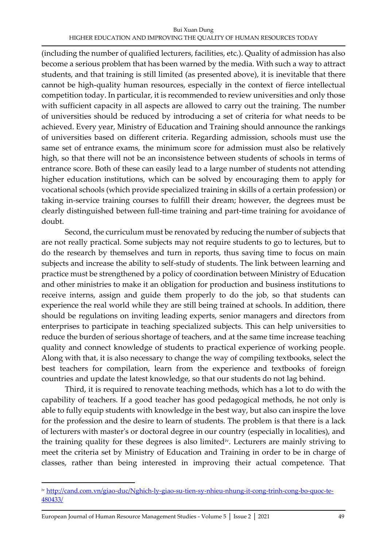(including the number of qualified lecturers, facilities, etc.). Quality of admission has also become a serious problem that has been warned by the media. With such a way to attract students, and that training is still limited (as presented above), it is inevitable that there cannot be high-quality human resources, especially in the context of fierce intellectual competition today. In particular, it is recommended to review universities and only those with sufficient capacity in all aspects are allowed to carry out the training. The number of universities should be reduced by introducing a set of criteria for what needs to be achieved. Every year, Ministry of Education and Training should announce the rankings of universities based on different criteria. Regarding admission, schools must use the same set of entrance exams, the minimum score for admission must also be relatively high, so that there will not be an inconsistence between students of schools in terms of entrance score. Both of these can easily lead to a large number of students not attending higher education institutions, which can be solved by encouraging them to apply for vocational schools (which provide specialized training in skills of a certain profession) or taking in-service training courses to fulfill their dream; however, the degrees must be clearly distinguished between full-time training and part-time training for avoidance of doubt.

Second, the curriculum must be renovated by reducing the number of subjects that are not really practical. Some subjects may not require students to go to lectures, but to do the research by themselves and turn in reports, thus saving time to focus on main subjects and increase the ability to self-study of students. The link between learning and practice must be strengthened by a policy of coordination between Ministry of Education and other ministries to make it an obligation for production and business institutions to receive interns, assign and guide them properly to do the job, so that students can experience the real world while they are still being trained at schools. In addition, there should be regulations on inviting leading experts, senior managers and directors from enterprises to participate in teaching specialized subjects. This can help universities to reduce the burden of serious shortage of teachers, and at the same time increase teaching quality and connect knowledge of students to practical experience of working people. Along with that, it is also necessary to change the way of compiling textbooks, select the best teachers for compilation, learn from the experience and textbooks of foreign countries and update the latest knowledge, so that our students do not lag behind.

Third, it is required to renovate teaching methods, which has a lot to do with the capability of teachers. If a good teacher has good pedagogical methods, he not only is able to fully equip students with knowledge in the best way, but also can inspire the love for the profession and the desire to learn of students. The problem is that there is a lack of lecturers with master's or doctoral degree in our country (especially in localities), and the training quality for these degrees is also limitediv. Lecturers are mainly striving to meet the criteria set by Ministry of Education and Training in order to be in charge of classes, rather than being interested in improving their actual competence. That

iv [http://cand.com.vn/giao-duc/Nghich-ly-giao-su-tien-sy-nhieu-nhung-it-cong-trinh-cong-bo-quoc-te-](http://cand.com.vn/giao-duc/Nghich-ly-giao-su-tien-sy-nhieu-nhung-it-cong-trinh-cong-bo-quoc-te-480433/)[480433/](http://cand.com.vn/giao-duc/Nghich-ly-giao-su-tien-sy-nhieu-nhung-it-cong-trinh-cong-bo-quoc-te-480433/)

[European Journal of Human Resource Management Studies](https://oapub.org/soc/index.php/EJHRMS/index) - Volume 5 | Issue 2 | 2021 49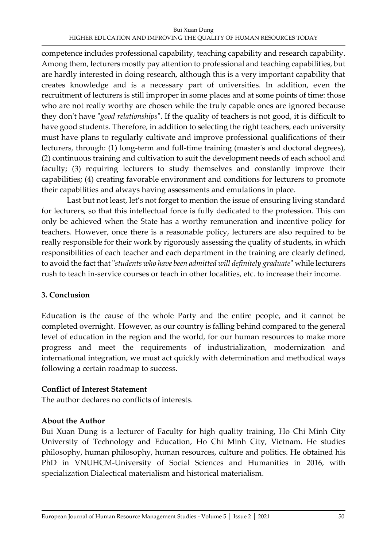#### Bui Xuan Dung HIGHER EDUCATION AND IMPROVING THE QUALITY OF HUMAN RESOURCES TODAY

competence includes professional capability, teaching capability and research capability. Among them, lecturers mostly pay attention to professional and teaching capabilities, but are hardly interested in doing research, although this is a very important capability that creates knowledge and is a necessary part of universities. In addition, even the recruitment of lecturers is still improper in some places and at some points of time: those who are not really worthy are chosen while the truly capable ones are ignored because they don't have "*good relationships*". If the quality of teachers is not good, it is difficult to have good students. Therefore, in addition to selecting the right teachers, each university must have plans to regularly cultivate and improve professional qualifications of their lecturers, through: (1) long-term and full-time training (master's and doctoral degrees), (2) continuous training and cultivation to suit the development needs of each school and faculty; (3) requiring lecturers to study themselves and constantly improve their capabilities; (4) creating favorable environment and conditions for lecturers to promote their capabilities and always having assessments and emulations in place.

Last but not least, let's not forget to mention the issue of ensuring living standard for lecturers, so that this intellectual force is fully dedicated to the profession. This can only be achieved when the State has a worthy remuneration and incentive policy for teachers. However, once there is a reasonable policy, lecturers are also required to be really responsible for their work by rigorously assessing the quality of students, in which responsibilities of each teacher and each department in the training are clearly defined, to avoid the fact that "*students who have been admitted will definitely graduate*" while lecturers rush to teach in-service courses or teach in other localities, etc. to increase their income.

## **3. Conclusion**

Education is the cause of the whole Party and the entire people, and it cannot be completed overnight. However, as our country is falling behind compared to the general level of education in the region and the world, for our human resources to make more progress and meet the requirements of industrialization, modernization and international integration, we must act quickly with determination and methodical ways following a certain roadmap to success.

### **Conflict of Interest Statement**

The author declares no conflicts of interests.

### **About the Author**

Bui Xuan Dung is a lecturer of Faculty for high quality training, Ho Chi Minh City University of Technology and Education, Ho Chi Minh City, Vietnam. He studies philosophy, human philosophy, human resources, culture and politics. He obtained his PhD in VNUHCM-University of Social Sciences and Humanities in 2016, with specialization Dialectical materialism and historical materialism.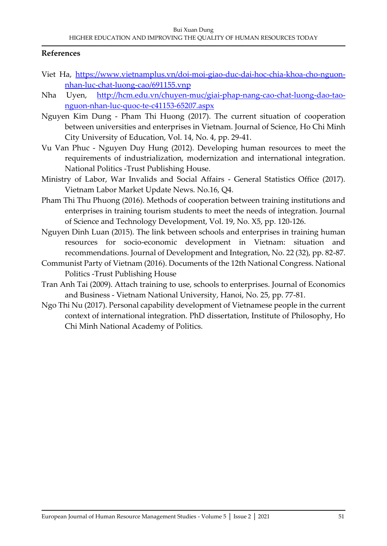### **References**

- Viet Ha, [https://www.vietnamplus.vn/doi-moi-giao-duc-dai-hoc-chia-khoa-cho-nguon](https://www.vietnamplus.vn/doi-moi-giao-duc-dai-hoc-chia-khoa-cho-nguon-nhan-luc-chat-luong-cao/691155.vnp)[nhan-luc-chat-luong-cao/691155.vnp](https://www.vietnamplus.vn/doi-moi-giao-duc-dai-hoc-chia-khoa-cho-nguon-nhan-luc-chat-luong-cao/691155.vnp)
- Nha Uyen, [http://hcm.edu.vn/chuyen-muc/giai-phap-nang-cao-chat-luong-dao-tao](http://hcm.edu.vn/chuyen-muc/giai-phap-nang-cao-chat-luong-dao-tao-nguon-nhan-luc-quoc-te-c41153-65207.aspx)[nguon-nhan-luc-quoc-te-c41153-65207.aspx](http://hcm.edu.vn/chuyen-muc/giai-phap-nang-cao-chat-luong-dao-tao-nguon-nhan-luc-quoc-te-c41153-65207.aspx)
- Nguyen Kim Dung Pham Thi Huong (2017). The current situation of cooperation between universities and enterprises in Vietnam. Journal of Science, Ho Chi Minh City University of Education, Vol. 14, No. 4, pp. 29-41.
- Vu Van Phuc Nguyen Duy Hung (2012). Developing human resources to meet the requirements of industrialization, modernization and international integration. National Politics -Trust Publishing House.
- Ministry of Labor, War Invalids and Social Affairs General Statistics Office (2017). Vietnam Labor Market Update News. No.16, Q4.
- Pham Thi Thu Phuong (2016). Methods of cooperation between training institutions and enterprises in training tourism students to meet the needs of integration. Journal of Science and Technology Development, Vol. 19, No. X5, pp. 120-126.
- Nguyen Dinh Luan (2015). The link between schools and enterprises in training human resources for socio-economic development in Vietnam: situation and recommendations. Journal of Development and Integration, No. 22 (32), pp. 82-87.
- Communist Party of Vietnam (2016). Documents of the 12th National Congress. National Politics -Trust Publishing House
- Tran Anh Tai (2009). Attach training to use, schools to enterprises. Journal of Economics and Business - Vietnam National University, Hanoi, No. 25, pp. 77-81.
- Ngo Thi Nu (2017). Personal capability development of Vietnamese people in the current context of international integration. PhD dissertation, Institute of Philosophy, Ho Chi Minh National Academy of Politics.